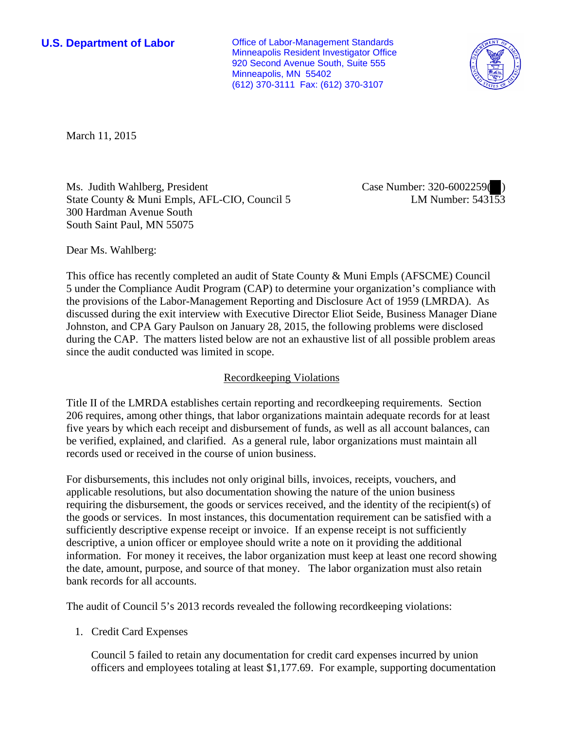**U.S. Department of Labor Conservative Conservative Conservative Conservative Conservative Conservative Conservative Conservative Conservative Conservative Conservative Conservative Conservative Conservative Conservative** Minneapolis Resident Investigator Office 920 Second Avenue South, Suite 555 Minneapolis, MN 55402 (612) 370-3111 Fax: (612) 370-3107



March 11, 2015

Ms. Judith Wahlberg, President State County & Muni Empls, AFL-CIO, Council 5 300 Hardman Avenue South South Saint Paul, MN 55075

Case Number: 320-6002259(<sup>0</sup>) LM Number: 543153

Dear Ms. Wahlberg:

This office has recently completed an audit of State County & Muni Empls (AFSCME) Council 5 under the Compliance Audit Program (CAP) to determine your organization's compliance with the provisions of the Labor-Management Reporting and Disclosure Act of 1959 (LMRDA). As discussed during the exit interview with Executive Director Eliot Seide, Business Manager Diane Johnston, and CPA Gary Paulson on January 28, 2015, the following problems were disclosed during the CAP. The matters listed below are not an exhaustive list of all possible problem areas since the audit conducted was limited in scope.

# Recordkeeping Violations

Title II of the LMRDA establishes certain reporting and recordkeeping requirements. Section 206 requires, among other things, that labor organizations maintain adequate records for at least five years by which each receipt and disbursement of funds, as well as all account balances, can be verified, explained, and clarified. As a general rule, labor organizations must maintain all records used or received in the course of union business.

For disbursements, this includes not only original bills, invoices, receipts, vouchers, and applicable resolutions, but also documentation showing the nature of the union business requiring the disbursement, the goods or services received, and the identity of the recipient(s) of the goods or services. In most instances, this documentation requirement can be satisfied with a sufficiently descriptive expense receipt or invoice. If an expense receipt is not sufficiently descriptive, a union officer or employee should write a note on it providing the additional information. For money it receives, the labor organization must keep at least one record showing the date, amount, purpose, and source of that money. The labor organization must also retain bank records for all accounts.

The audit of Council 5's 2013 records revealed the following recordkeeping violations:

1. Credit Card Expenses

Council 5 failed to retain any documentation for credit card expenses incurred by union officers and employees totaling at least \$1,177.69. For example, supporting documentation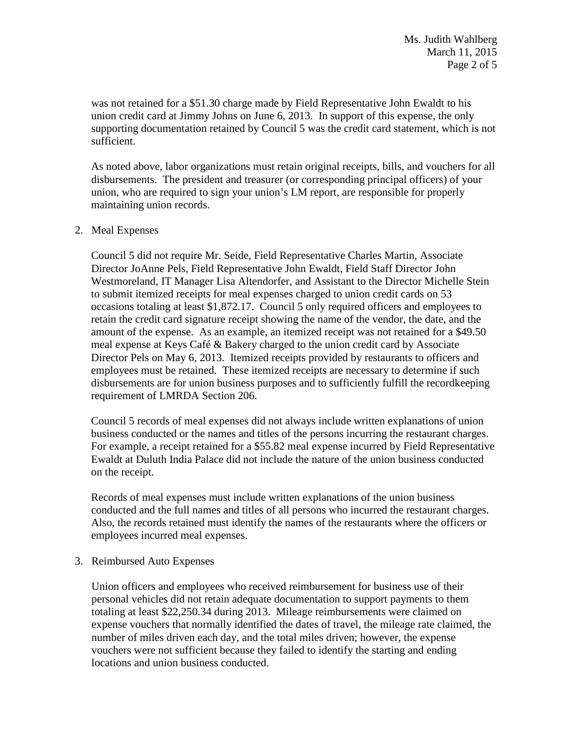was not retained for a \$51.30 charge made by Field Representative John Ewaldt to his union credit card at Jimmy Johns on June 6, 2013. In support of this expense, the only supporting documentation retained by Council 5 was the credit card statement, which is not sufficient.

As noted above, labor organizations must retain original receipts, bills, and vouchers for all disbursements. The president and treasurer (or corresponding principal officers) of your union, who are required to sign your union's LM report, are responsible for properly maintaining union records.

### 2. Meal Expenses

Council 5 did not require Mr. Seide, Field Representative Charles Martin, Associate Director JoAnne Pels, Field Representative John Ewaldt, Field Staff Director John Westmoreland, IT Manager Lisa Altendorfer, and Assistant to the Director Michelle Stein to submit itemized receipts for meal expenses charged to union credit cards on 53 occasions totaling at least \$1,872.17. Council 5 only required officers and employees to retain the credit card signature receipt showing the name of the vendor, the date, and the amount of the expense. As an example, an itemized receipt was not retained for a \$49.50 meal expense at Keys Café & Bakery charged to the union credit card by Associate Director Pels on May 6, 2013. Itemized receipts provided by restaurants to officers and employees must be retained. These itemized receipts are necessary to determine if such disbursements are for union business purposes and to sufficiently fulfill the recordkeeping requirement of LMRDA Section 206.

Council 5 records of meal expenses did not always include written explanations of union business conducted or the names and titles of the persons incurring the restaurant charges. For example, a receipt retained for a \$55.82 meal expense incurred by Field Representative Ewaldt at Duluth India Palace did not include the nature of the union business conducted on the receipt.

Records of meal expenses must include written explanations of the union business conducted and the full names and titles of all persons who incurred the restaurant charges. Also, the records retained must identify the names of the restaurants where the officers or employees incurred meal expenses.

3. Reimbursed Auto Expenses

Union officers and employees who received reimbursement for business use of their personal vehicles did not retain adequate documentation to support payments to them totaling at least \$22,250.34 during 2013. Mileage reimbursements were claimed on expense vouchers that normally identified the dates of travel, the mileage rate claimed, the number of miles driven each day, and the total miles driven; however, the expense vouchers were not sufficient because they failed to identify the starting and ending locations and union business conducted.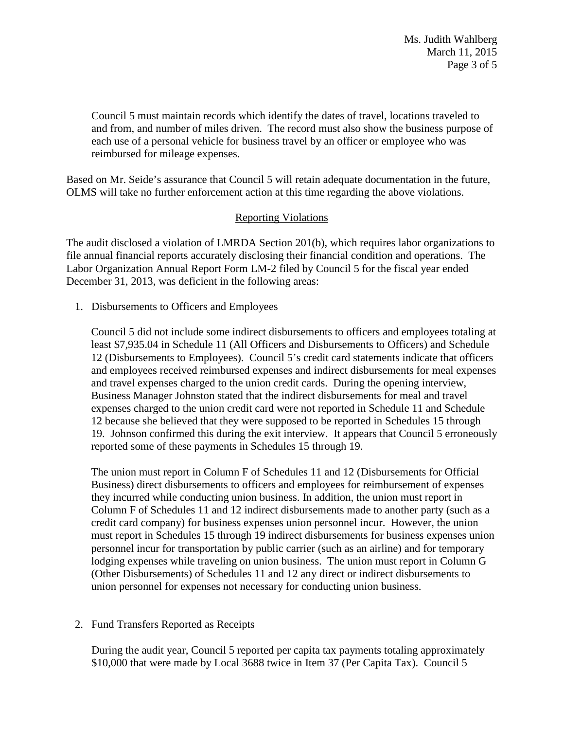Ms. Judith Wahlberg March 11, 2015 Page 3 of 5

Council 5 must maintain records which identify the dates of travel, locations traveled to and from, and number of miles driven. The record must also show the business purpose of each use of a personal vehicle for business travel by an officer or employee who was reimbursed for mileage expenses.

Based on Mr. Seide's assurance that Council 5 will retain adequate documentation in the future, OLMS will take no further enforcement action at this time regarding the above violations.

# Reporting Violations

The audit disclosed a violation of LMRDA Section 201(b), which requires labor organizations to file annual financial reports accurately disclosing their financial condition and operations. The Labor Organization Annual Report Form LM-2 filed by Council 5 for the fiscal year ended December 31, 2013, was deficient in the following areas:

1. Disbursements to Officers and Employees

Council 5 did not include some indirect disbursements to officers and employees totaling at least \$7,935.04 in Schedule 11 (All Officers and Disbursements to Officers) and Schedule 12 (Disbursements to Employees). Council 5's credit card statements indicate that officers and employees received reimbursed expenses and indirect disbursements for meal expenses and travel expenses charged to the union credit cards. During the opening interview, Business Manager Johnston stated that the indirect disbursements for meal and travel expenses charged to the union credit card were not reported in Schedule 11 and Schedule 12 because she believed that they were supposed to be reported in Schedules 15 through 19. Johnson confirmed this during the exit interview. It appears that Council 5 erroneously reported some of these payments in Schedules 15 through 19.

The union must report in Column F of Schedules 11 and 12 (Disbursements for Official Business) direct disbursements to officers and employees for reimbursement of expenses they incurred while conducting union business. In addition, the union must report in Column F of Schedules 11 and 12 indirect disbursements made to another party (such as a credit card company) for business expenses union personnel incur. However, the union must report in Schedules 15 through 19 indirect disbursements for business expenses union personnel incur for transportation by public carrier (such as an airline) and for temporary lodging expenses while traveling on union business. The union must report in Column G (Other Disbursements) of Schedules 11 and 12 any direct or indirect disbursements to union personnel for expenses not necessary for conducting union business.

2. Fund Transfers Reported as Receipts

During the audit year, Council 5 reported per capita tax payments totaling approximately \$10,000 that were made by Local 3688 twice in Item 37 (Per Capita Tax). Council 5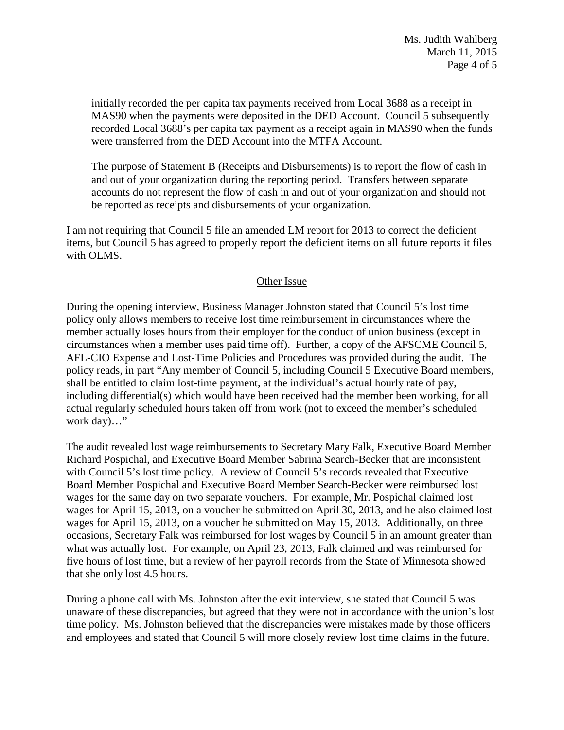initially recorded the per capita tax payments received from Local 3688 as a receipt in MAS90 when the payments were deposited in the DED Account. Council 5 subsequently recorded Local 3688's per capita tax payment as a receipt again in MAS90 when the funds were transferred from the DED Account into the MTFA Account.

The purpose of Statement B (Receipts and Disbursements) is to report the flow of cash in and out of your organization during the reporting period. Transfers between separate accounts do not represent the flow of cash in and out of your organization and should not be reported as receipts and disbursements of your organization.

I am not requiring that Council 5 file an amended LM report for 2013 to correct the deficient items, but Council 5 has agreed to properly report the deficient items on all future reports it files with OLMS.

# Other Issue

During the opening interview, Business Manager Johnston stated that Council 5's lost time policy only allows members to receive lost time reimbursement in circumstances where the member actually loses hours from their employer for the conduct of union business (except in circumstances when a member uses paid time off). Further, a copy of the AFSCME Council 5, AFL-CIO Expense and Lost-Time Policies and Procedures was provided during the audit. The policy reads, in part "Any member of Council 5, including Council 5 Executive Board members, shall be entitled to claim lost-time payment, at the individual's actual hourly rate of pay, including differential(s) which would have been received had the member been working, for all actual regularly scheduled hours taken off from work (not to exceed the member's scheduled work day)..."

The audit revealed lost wage reimbursements to Secretary Mary Falk, Executive Board Member Richard Pospichal, and Executive Board Member Sabrina Search-Becker that are inconsistent with Council 5's lost time policy. A review of Council 5's records revealed that Executive Board Member Pospichal and Executive Board Member Search-Becker were reimbursed lost wages for the same day on two separate vouchers. For example, Mr. Pospichal claimed lost wages for April 15, 2013, on a voucher he submitted on April 30, 2013, and he also claimed lost wages for April 15, 2013, on a voucher he submitted on May 15, 2013. Additionally, on three occasions, Secretary Falk was reimbursed for lost wages by Council 5 in an amount greater than what was actually lost. For example, on April 23, 2013, Falk claimed and was reimbursed for five hours of lost time, but a review of her payroll records from the State of Minnesota showed that she only lost 4.5 hours.

During a phone call with Ms. Johnston after the exit interview, she stated that Council 5 was unaware of these discrepancies, but agreed that they were not in accordance with the union's lost time policy. Ms. Johnston believed that the discrepancies were mistakes made by those officers and employees and stated that Council 5 will more closely review lost time claims in the future.